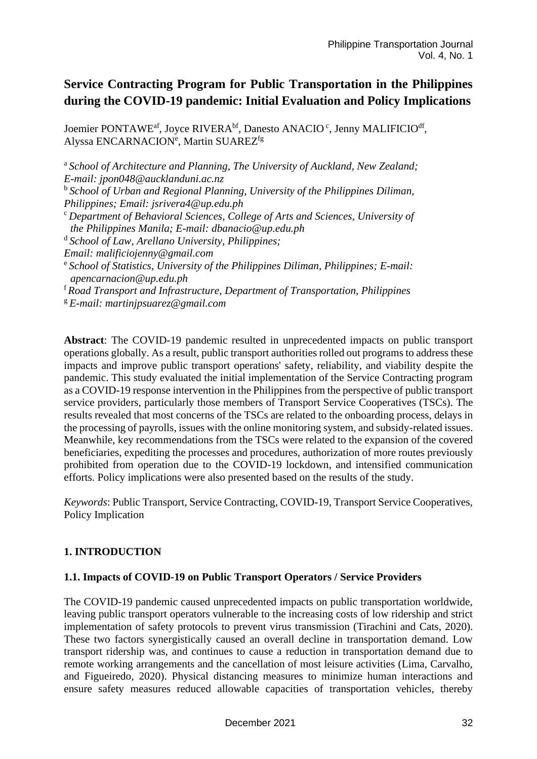# **Service Contracting Program for Public Transportation in the Philippines during the COVID-19 pandemic: Initial Evaluation and Policy Implications**

Joemier PONTAWE<sup>af</sup>, Joyce RIVERA<sup>bf</sup>, Danesto ANACIO<sup>c</sup>, Jenny MALIFICIO<sup>df</sup>, Alyssa ENCARNACION<sup>e</sup>, Martin SUAREZ<sup>fg</sup>

<sup>a</sup> School of Architecture and Planning, The University of Auckland, New Zealand; *E-mail: jpon048@aucklanduni.ac.nz* <sup>b</sup> School of Urban and Regional Planning, University of the Philippines Diliman, *Philippines; Email: jsrivera4@up.edu.ph* <sup>c</sup> *Department of Behavioral Sciences, College of Arts and Sciences, University of the Philippines Manila; E-mail: dbanacio@up.edu.ph* <sup>d</sup>*School of Law, Arellano University, Philippines; Email: malificiojenny@gmail.com* <sup>e</sup>*School of Statistics, University of the Philippines Diliman, Philippines; E-mail: apencarnacion@up.edu.ph* <sup>f</sup>*Road Transport and Infrastructure, Department of Transportation, Philippines*

<sup>g</sup>*E-mail: martinjpsuarez@gmail.com* 

**Abstract**: The COVID-19 pandemic resulted in unprecedented impacts on public transport operations globally. As a result, public transport authorities rolled out programs to address these impacts and improve public transport operations' safety, reliability, and viability despite the pandemic. This study evaluated the initial implementation of the Service Contracting program as a COVID-19 response intervention in the Philippines from the perspective of public transport service providers, particularly those members of Transport Service Cooperatives (TSCs). The results revealed that most concerns of the TSCs are related to the onboarding process, delays in the processing of payrolls, issues with the online monitoring system, and subsidy-related issues. Meanwhile, key recommendations from the TSCs were related to the expansion of the covered beneficiaries, expediting the processes and procedures, authorization of more routes previously prohibited from operation due to the COVID-19 lockdown, and intensified communication efforts. Policy implications were also presented based on the results of the study.

*Keywords*: Public Transport, Service Contracting, COVID-19, Transport Service Cooperatives, Policy Implication

# **1. INTRODUCTION**

# **1.1. Impacts of COVID-19 on Public Transport Operators / Service Providers**

The COVID-19 pandemic caused unprecedented impacts on public transportation worldwide, leaving public transport operators vulnerable to the increasing costs of low ridership and strict implementation of safety protocols to prevent virus transmission (Tirachini and Cats, 2020). These two factors synergistically caused an overall decline in transportation demand. Low transport ridership was, and continues to cause a reduction in transportation demand due to remote working arrangements and the cancellation of most leisure activities (Lima, Carvalho, and Figueiredo, 2020). Physical distancing measures to minimize human interactions and ensure safety measures reduced allowable capacities of transportation vehicles, thereby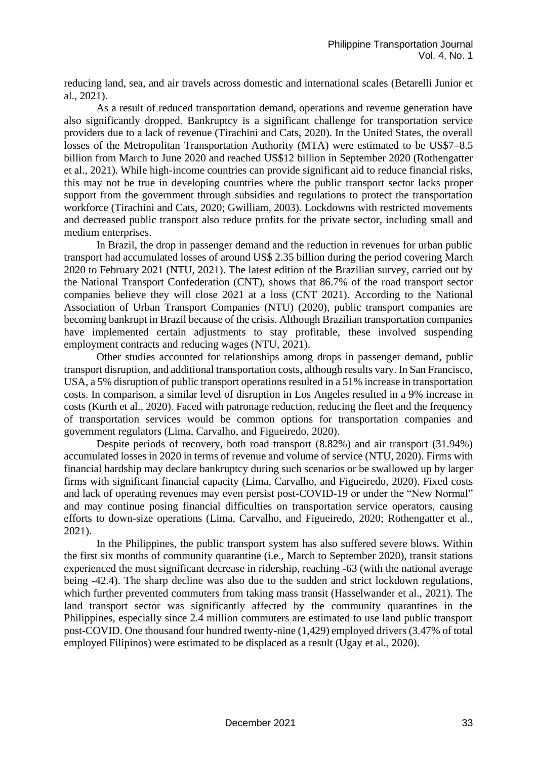reducing land, sea, and air travels across domestic and international scales (Betarelli Junior et al., 2021).

As a result of reduced transportation demand, operations and revenue generation have also significantly dropped. Bankruptcy is a significant challenge for transportation service providers due to a lack of revenue (Tirachini and Cats, 2020). In the United States, the overall losses of the Metropolitan Transportation Authority (MTA) were estimated to be US\$7–8.5 billion from March to June 2020 and reached US\$12 billion in September 2020 (Rothengatter et al., 2021). While high-income countries can provide significant aid to reduce financial risks, this may not be true in developing countries where the public transport sector lacks proper support from the government through subsidies and regulations to protect the transportation workforce (Tirachini and Cats, 2020; Gwilliam, 2003). Lockdowns with restricted movements and decreased public transport also reduce profits for the private sector, including small and medium enterprises.

In Brazil, the drop in passenger demand and the reduction in revenues for urban public transport had accumulated losses of around US\$ 2.35 billion during the period covering March 2020 to February 2021 (NTU, 2021). The latest edition of the Brazilian survey, carried out by the National Transport Confederation (CNT), shows that 86.7% of the road transport sector companies believe they will close 2021 at a loss (CNT 2021). According to the National Association of Urban Transport Companies (NTU) (2020), public transport companies are becoming bankrupt in Brazil because of the crisis. Although Brazilian transportation companies have implemented certain adjustments to stay profitable, these involved suspending employment contracts and reducing wages (NTU, 2021).

Other studies accounted for relationships among drops in passenger demand, public transport disruption, and additional transportation costs, although results vary. In San Francisco, USA, a 5% disruption of public transport operations resulted in a 51% increase in transportation costs. In comparison, a similar level of disruption in Los Angeles resulted in a 9% increase in costs (Kurth et al., 2020). Faced with patronage reduction, reducing the fleet and the frequency of transportation services would be common options for transportation companies and government regulators (Lima, Carvalho, and Figueiredo, 2020).

Despite periods of recovery, both road transport (8.82%) and air transport (31.94%) accumulated losses in 2020 in terms of revenue and volume of service (NTU, 2020). Firms with financial hardship may declare bankruptcy during such scenarios or be swallowed up by larger firms with significant financial capacity (Lima, Carvalho, and Figueiredo, 2020). Fixed costs and lack of operating revenues may even persist post-COVID-19 or under the "New Normal" and may continue posing financial difficulties on transportation service operators, causing efforts to down-size operations (Lima, Carvalho, and Figueiredo, 2020; Rothengatter et al., 2021).

In the Philippines, the public transport system has also suffered severe blows. Within the first six months of community quarantine (i.e., March to September 2020), transit stations experienced the most significant decrease in ridership, reaching -63 (with the national average being -42.4). The sharp decline was also due to the sudden and strict lockdown regulations, which further prevented commuters from taking mass transit (Hasselwander et al., 2021). The land transport sector was significantly affected by the community quarantines in the Philippines, especially since 2.4 million commuters are estimated to use land public transport post-COVID. One thousand four hundred twenty-nine (1,429) employed drivers (3.47% of total employed Filipinos) were estimated to be displaced as a result (Ugay et al., 2020).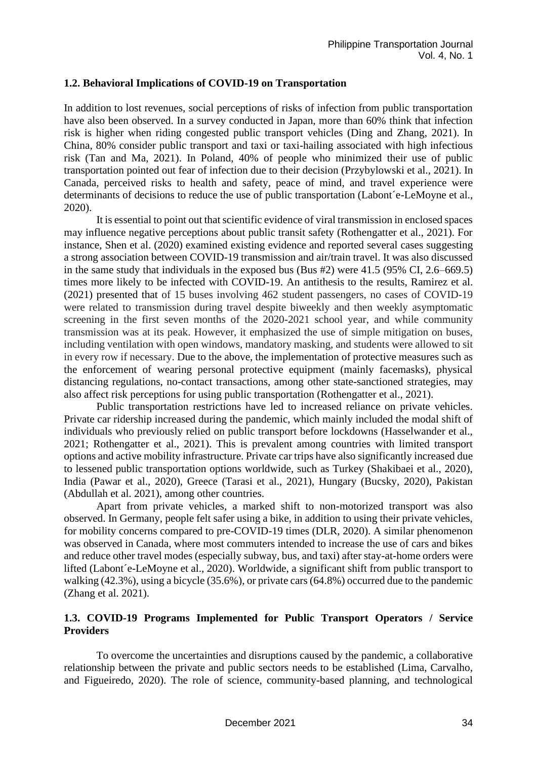#### **1.2. Behavioral Implications of COVID-19 on Transportation**

In addition to lost revenues, social perceptions of risks of infection from public transportation have also been observed. In a survey conducted in Japan, more than 60% think that infection risk is higher when riding congested public transport vehicles (Ding and Zhang, 2021). In China, 80% consider public transport and taxi or taxi-hailing associated with high infectious risk (Tan and Ma, 2021). In Poland, 40% of people who minimized their use of public transportation pointed out fear of infection due to their decision (Przybylowski et al., 2021). In Canada, perceived risks to health and safety, peace of mind, and travel experience were determinants of decisions to reduce the use of public transportation (Labont´e-LeMoyne et al., 2020).

It is essential to point out that scientific evidence of viral transmission in enclosed spaces may influence negative perceptions about public transit safety (Rothengatter et al., 2021). For instance, Shen et al. (2020) examined existing evidence and reported several cases suggesting a strong association between COVID-19 transmission and air/train travel. It was also discussed in the same study that individuals in the exposed bus (Bus #2) were 41.5 (95% CI, 2.6–669.5) times more likely to be infected with COVID-19. An antithesis to the results, Ramirez et al. (2021) presented that of 15 buses involving 462 student passengers, no cases of COVID-19 were related to transmission during travel despite biweekly and then weekly asymptomatic screening in the first seven months of the 2020-2021 school year, and while community transmission was at its peak. However, it emphasized the use of simple mitigation on buses, including ventilation with open windows, mandatory masking, and students were allowed to sit in every row if necessary. Due to the above, the implementation of protective measures such as the enforcement of wearing personal protective equipment (mainly facemasks), physical distancing regulations, no-contact transactions, among other state-sanctioned strategies, may also affect risk perceptions for using public transportation (Rothengatter et al., 2021).

Public transportation restrictions have led to increased reliance on private vehicles. Private car ridership increased during the pandemic, which mainly included the modal shift of individuals who previously relied on public transport before lockdowns (Hasselwander et al., 2021; Rothengatter et al., 2021). This is prevalent among countries with limited transport options and active mobility infrastructure. Private car trips have also significantly increased due to lessened public transportation options worldwide, such as Turkey (Shakibaei et al., 2020), India (Pawar et al., 2020), Greece (Tarasi et al., 2021), Hungary (Bucsky, 2020), Pakistan (Abdullah et al. 2021), among other countries.

Apart from private vehicles, a marked shift to non-motorized transport was also observed. In Germany, people felt safer using a bike, in addition to using their private vehicles, for mobility concerns compared to pre-COVID-19 times (DLR, 2020). A similar phenomenon was observed in Canada, where most commuters intended to increase the use of cars and bikes and reduce other travel modes (especially subway, bus, and taxi) after stay-at-home orders were lifted (Labont´e-LeMoyne et al., 2020). Worldwide, a significant shift from public transport to walking (42.3%), using a bicycle (35.6%), or private cars (64.8%) occurred due to the pandemic (Zhang et al. 2021).

### **1.3. COVID-19 Programs Implemented for Public Transport Operators / Service Providers**

To overcome the uncertainties and disruptions caused by the pandemic, a collaborative relationship between the private and public sectors needs to be established (Lima, Carvalho, and Figueiredo, 2020). The role of science, community-based planning, and technological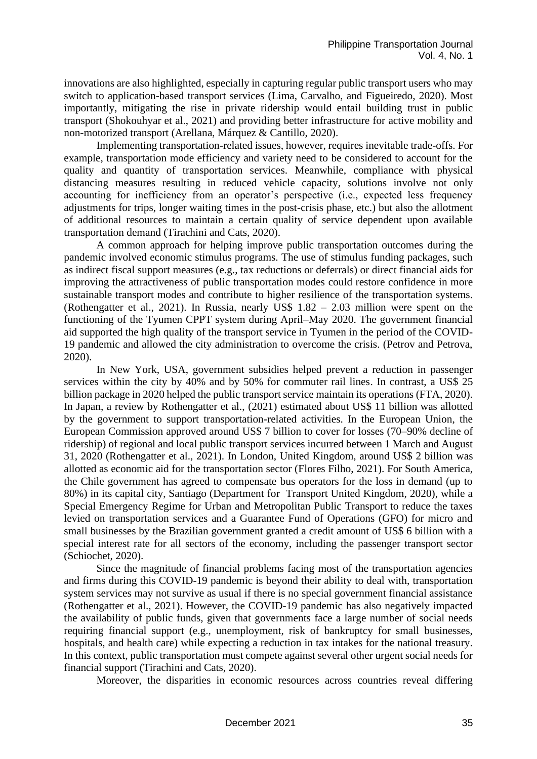innovations are also highlighted, especially in capturing regular public transport users who may switch to application-based transport services (Lima, Carvalho, and Figueiredo, 2020). Most importantly, mitigating the rise in private ridership would entail building trust in public transport (Shokouhyar et al., 2021) and providing better infrastructure for active mobility and non-motorized transport (Arellana, Márquez & Cantillo, 2020).

Implementing transportation-related issues, however, requires inevitable trade-offs. For example, transportation mode efficiency and variety need to be considered to account for the quality and quantity of transportation services. Meanwhile, compliance with physical distancing measures resulting in reduced vehicle capacity, solutions involve not only accounting for inefficiency from an operator's perspective (i.e., expected less frequency adjustments for trips, longer waiting times in the post-crisis phase, etc.) but also the allotment of additional resources to maintain a certain quality of service dependent upon available transportation demand (Tirachini and Cats, 2020).

A common approach for helping improve public transportation outcomes during the pandemic involved economic stimulus programs. The use of stimulus funding packages, such as indirect fiscal support measures (e.g., tax reductions or deferrals) or direct financial aids for improving the attractiveness of public transportation modes could restore confidence in more sustainable transport modes and contribute to higher resilience of the transportation systems. (Rothengatter et al., 2021). In Russia, nearly US\$ 1.82 – 2.03 million were spent on the functioning of the Tyumen CPPT system during April–May 2020. The government financial aid supported the high quality of the transport service in Tyumen in the period of the COVID-19 pandemic and allowed the city administration to overcome the crisis. (Petrov and Petrova, 2020).

In New York, USA, government subsidies helped prevent a reduction in passenger services within the city by 40% and by 50% for commuter rail lines. In contrast, a US\$ 25 billion package in 2020 helped the public transport service maintain its operations (FTA, 2020). In Japan, a review by Rothengatter et al., (2021) estimated about US\$ 11 billion was allotted by the government to support transportation-related activities. In the European Union, the European Commission approved around US\$ 7 billion to cover for losses (70–90% decline of ridership) of regional and local public transport services incurred between 1 March and August 31, 2020 (Rothengatter et al., 2021). In London, United Kingdom, around US\$ 2 billion was allotted as economic aid for the transportation sector (Flores Filho, 2021). For South America, the Chile government has agreed to compensate bus operators for the loss in demand (up to 80%) in its capital city, Santiago (Department for Transport United Kingdom, 2020), while a Special Emergency Regime for Urban and Metropolitan Public Transport to reduce the taxes levied on transportation services and a Guarantee Fund of Operations (GFO) for micro and small businesses by the Brazilian government granted a credit amount of US\$ 6 billion with a special interest rate for all sectors of the economy, including the passenger transport sector (Schiochet, 2020).

Since the magnitude of financial problems facing most of the transportation agencies and firms during this COVID-19 pandemic is beyond their ability to deal with, transportation system services may not survive as usual if there is no special government financial assistance (Rothengatter et al., 2021). However, the COVID-19 pandemic has also negatively impacted the availability of public funds, given that governments face a large number of social needs requiring financial support (e.g., unemployment, risk of bankruptcy for small businesses, hospitals, and health care) while expecting a reduction in tax intakes for the national treasury. In this context, public transportation must compete against several other urgent social needs for financial support (Tirachini and Cats, 2020).

Moreover, the disparities in economic resources across countries reveal differing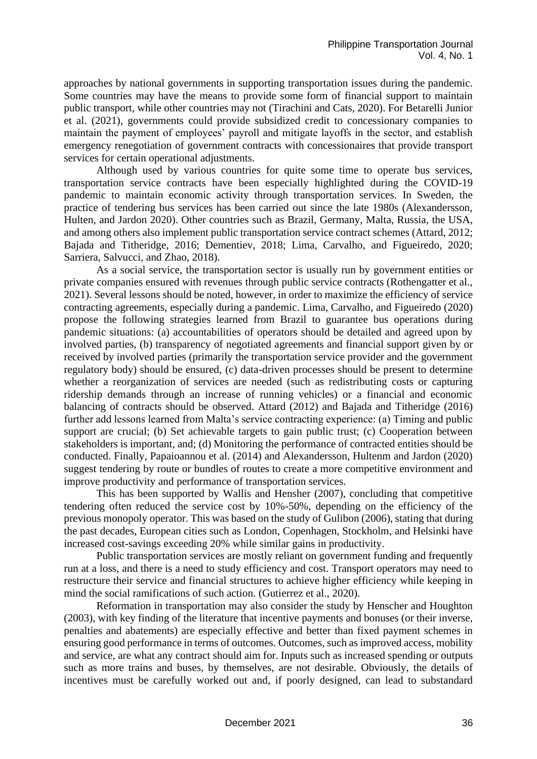approaches by national governments in supporting transportation issues during the pandemic. Some countries may have the means to provide some form of financial support to maintain public transport, while other countries may not (Tirachini and Cats, 2020). For Betarelli Junior et al. (2021), governments could provide subsidized credit to concessionary companies to maintain the payment of employees' payroll and mitigate layoffs in the sector, and establish emergency renegotiation of government contracts with concessionaires that provide transport services for certain operational adjustments.

Although used by various countries for quite some time to operate bus services, transportation service contracts have been especially highlighted during the COVID-19 pandemic to maintain economic activity through transportation services. In Sweden, the practice of tendering bus services has been carried out since the late 1980s (Alexandersson, Hulten, and Jardon 2020). Other countries such as Brazil, Germany, Malta, Russia, the USA, and among others also implement public transportation service contract schemes (Attard, 2012; Bajada and Titheridge, 2016; Dementiev, 2018; Lima, Carvalho, and Figueiredo, 2020; Sarriera, Salvucci, and Zhao, 2018).

As a social service, the transportation sector is usually run by government entities or private companies ensured with revenues through public service contracts (Rothengatter et al., 2021). Several lessons should be noted, however, in order to maximize the efficiency of service contracting agreements, especially during a pandemic. Lima, Carvalho, and Figueiredo (2020) propose the following strategies learned from Brazil to guarantee bus operations during pandemic situations: (a) accountabilities of operators should be detailed and agreed upon by involved parties, (b) transparency of negotiated agreements and financial support given by or received by involved parties (primarily the transportation service provider and the government regulatory body) should be ensured, (c) data-driven processes should be present to determine whether a reorganization of services are needed (such as redistributing costs or capturing ridership demands through an increase of running vehicles) or a financial and economic balancing of contracts should be observed. Attard (2012) and Bajada and Titheridge (2016) further add lessons learned from Malta's service contracting experience: (a) Timing and public support are crucial; (b) Set achievable targets to gain public trust; (c) Cooperation between stakeholders is important, and; (d) Monitoring the performance of contracted entities should be conducted. Finally, Papaioannou et al. (2014) and Alexandersson, Hultenm and Jardon (2020) suggest tendering by route or bundles of routes to create a more competitive environment and improve productivity and performance of transportation services.

This has been supported by Wallis and Hensher (2007), concluding that competitive tendering often reduced the service cost by 10%-50%, depending on the efficiency of the previous monopoly operator. This was based on the study of Gulibon (2006), stating that during the past decades, European cities such as London, Copenhagen, Stockholm, and Helsinki have increased cost-savings exceeding 20% while similar gains in productivity.

Public transportation services are mostly reliant on government funding and frequently run at a loss, and there is a need to study efficiency and cost. Transport operators may need to restructure their service and financial structures to achieve higher efficiency while keeping in mind the social ramifications of such action. (Gutierrez et al., 2020).

Reformation in transportation may also consider the study by Henscher and Houghton (2003), with key finding of the literature that incentive payments and bonuses (or their inverse, penalties and abatements) are especially effective and better than fixed payment schemes in ensuring good performance in terms of outcomes. Outcomes, such as improved access, mobility and service, are what any contract should aim for. Inputs such as increased spending or outputs such as more trains and buses, by themselves, are not desirable. Obviously, the details of incentives must be carefully worked out and, if poorly designed, can lead to substandard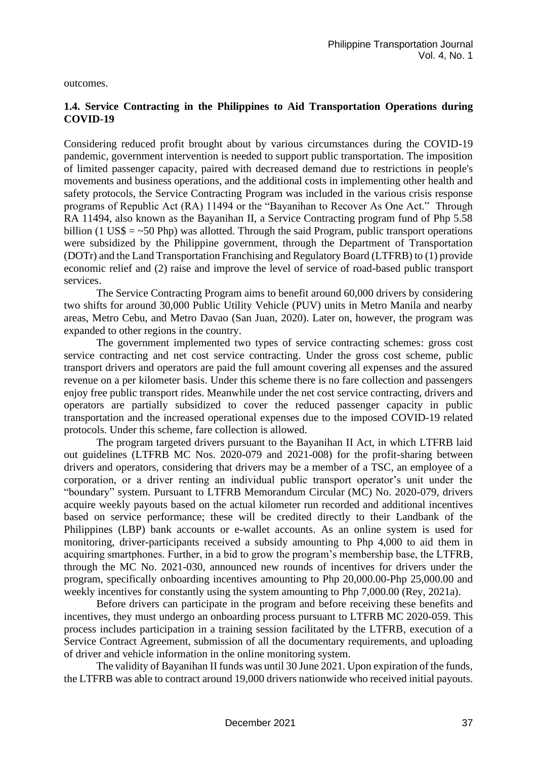outcomes.

### **1.4. Service Contracting in the Philippines to Aid Transportation Operations during COVID-19**

Considering reduced profit brought about by various circumstances during the COVID-19 pandemic, government intervention is needed to support public transportation. The imposition of limited passenger capacity, paired with decreased demand due to restrictions in people's movements and business operations, and the additional costs in implementing other health and safety protocols, the Service Contracting Program was included in the various crisis response programs of Republic Act (RA) 11494 or the "Bayanihan to Recover As One Act." Through RA 11494, also known as the Bayanihan II, a Service Contracting program fund of Php 5.58 billion (1 US\$  $=$  ~50 Php) was allotted. Through the said Program, public transport operations were subsidized by the Philippine government, through the Department of Transportation (DOTr) and the Land Transportation Franchising and Regulatory Board (LTFRB) to (1) provide economic relief and (2) raise and improve the level of service of road-based public transport services.

The Service Contracting Program aims to benefit around 60,000 drivers by considering two shifts for around 30,000 Public Utility Vehicle (PUV) units in Metro Manila and nearby areas, Metro Cebu, and Metro Davao (San Juan, 2020). Later on, however, the program was expanded to other regions in the country.

The government implemented two types of service contracting schemes: gross cost service contracting and net cost service contracting. Under the gross cost scheme, public transport drivers and operators are paid the full amount covering all expenses and the assured revenue on a per kilometer basis. Under this scheme there is no fare collection and passengers enjoy free public transport rides. Meanwhile under the net cost service contracting, drivers and operators are partially subsidized to cover the reduced passenger capacity in public transportation and the increased operational expenses due to the imposed COVID-19 related protocols. Under this scheme, fare collection is allowed.

The program targeted drivers pursuant to the Bayanihan II Act, in which LTFRB laid out guidelines (LTFRB MC Nos. 2020-079 and 2021-008) for the profit-sharing between drivers and operators, considering that drivers may be a member of a TSC, an employee of a corporation, or a driver renting an individual public transport operator's unit under the "boundary" system. Pursuant to LTFRB Memorandum Circular (MC) No. 2020-079, drivers acquire weekly payouts based on the actual kilometer run recorded and additional incentives based on service performance; these will be credited directly to their Landbank of the Philippines (LBP) bank accounts or e-wallet accounts. As an online system is used for monitoring, driver-participants received a subsidy amounting to Php 4,000 to aid them in acquiring smartphones. Further, in a bid to grow the program's membership base, the LTFRB, through the MC No. 2021-030, announced new rounds of incentives for drivers under the program, specifically onboarding incentives amounting to Php 20,000.00-Php 25,000.00 and weekly incentives for constantly using the system amounting to Php 7,000.00 (Rey, 2021a).

Before drivers can participate in the program and before receiving these benefits and incentives, they must undergo an onboarding process pursuant to LTFRB MC 2020-059. This process includes participation in a training session facilitated by the LTFRB, execution of a Service Contract Agreement, submission of all the documentary requirements, and uploading of driver and vehicle information in the online monitoring system.

The validity of Bayanihan II funds was until 30 June 2021. Upon expiration of the funds, the LTFRB was able to contract around 19,000 drivers nationwide who received initial payouts.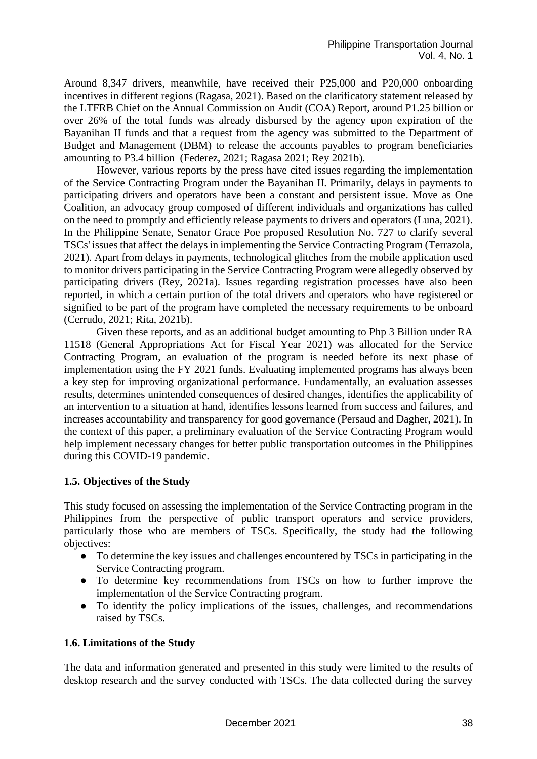Around 8,347 drivers, meanwhile, have received their P25,000 and P20,000 onboarding incentives in different regions (Ragasa, 2021). Based on the clarificatory statement released by the LTFRB Chief on the Annual Commission on Audit (COA) Report, around P1.25 billion or over 26% of the total funds was already disbursed by the agency upon expiration of the Bayanihan II funds and that a request from the agency was submitted to the Department of Budget and Management (DBM) to release the accounts payables to program beneficiaries amounting to P3.4 billion (Federez, 2021; Ragasa 2021; Rey 2021b).

However, various reports by the press have cited issues regarding the implementation of the Service Contracting Program under the Bayanihan II. Primarily, delays in payments to participating drivers and operators have been a constant and persistent issue. Move as One Coalition, an advocacy group composed of different individuals and organizations has called on the need to promptly and efficiently release payments to drivers and operators (Luna, 2021). In the Philippine Senate, Senator Grace Poe proposed Resolution No. 727 to clarify several TSCs' issues that affect the delays in implementing the Service Contracting Program (Terrazola, 2021). Apart from delays in payments, technological glitches from the mobile application used to monitor drivers participating in the Service Contracting Program were allegedly observed by participating drivers (Rey, 2021a). Issues regarding registration processes have also been reported, in which a certain portion of the total drivers and operators who have registered or signified to be part of the program have completed the necessary requirements to be onboard (Cerrudo, 2021; Rita, 2021b).

Given these reports, and as an additional budget amounting to Php 3 Billion under RA 11518 (General Appropriations Act for Fiscal Year 2021) was allocated for the Service Contracting Program, an evaluation of the program is needed before its next phase of implementation using the FY 2021 funds. Evaluating implemented programs has always been a key step for improving organizational performance. Fundamentally, an evaluation assesses results, determines unintended consequences of desired changes, identifies the applicability of an intervention to a situation at hand, identifies lessons learned from success and failures, and increases accountability and transparency for good governance (Persaud and Dagher, 2021). In the context of this paper, a preliminary evaluation of the Service Contracting Program would help implement necessary changes for better public transportation outcomes in the Philippines during this COVID-19 pandemic.

#### **1.5. Objectives of the Study**

This study focused on assessing the implementation of the Service Contracting program in the Philippines from the perspective of public transport operators and service providers, particularly those who are members of TSCs. Specifically, the study had the following objectives:

- To determine the key issues and challenges encountered by TSCs in participating in the Service Contracting program.
- To determine key recommendations from TSCs on how to further improve the implementation of the Service Contracting program.
- To identify the policy implications of the issues, challenges, and recommendations raised by TSCs.

# **1.6. Limitations of the Study**

The data and information generated and presented in this study were limited to the results of desktop research and the survey conducted with TSCs. The data collected during the survey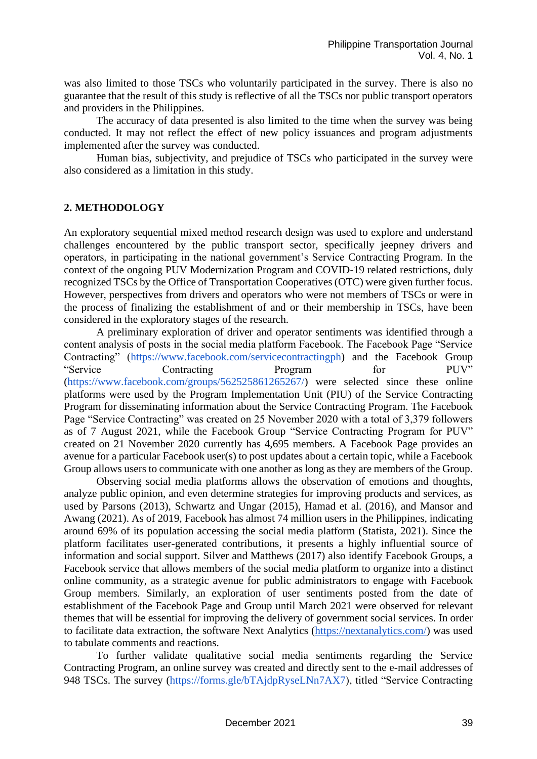was also limited to those TSCs who voluntarily participated in the survey. There is also no guarantee that the result of this study is reflective of all the TSCs nor public transport operators and providers in the Philippines.

The accuracy of data presented is also limited to the time when the survey was being conducted. It may not reflect the effect of new policy issuances and program adjustments implemented after the survey was conducted.

Human bias, subjectivity, and prejudice of TSCs who participated in the survey were also considered as a limitation in this study.

#### **2. METHODOLOGY**

An exploratory sequential mixed method research design was used to explore and understand challenges encountered by the public transport sector, specifically jeepney drivers and operators, in participating in the national government's Service Contracting Program. In the context of the ongoing PUV Modernization Program and COVID-19 related restrictions, duly recognized TSCs by the Office of Transportation Cooperatives (OTC) were given further focus. However, perspectives from drivers and operators who were not members of TSCs or were in the process of finalizing the establishment of and or their membership in TSCs, have been considered in the exploratory stages of the research.

A preliminary exploration of driver and operator sentiments was identified through a content analysis of posts in the social media platform Facebook. The Facebook Page "Service Contracting" [\(https://www.facebook.com/servicecontractingph\)](https://www.facebook.com/servicecontractingph) and the Facebook Group "Service Contracting Program for PUV" [\(https://www.facebook.com/groups/562525861265267/\)](https://www.facebook.com/groups/562525861265267/) were selected since these online platforms were used by the Program Implementation Unit (PIU) of the Service Contracting Program for disseminating information about the Service Contracting Program. The Facebook Page "Service Contracting" was created on 25 November 2020 with a total of 3,379 followers as of 7 August 2021, while the Facebook Group "Service Contracting Program for PUV" created on 21 November 2020 currently has 4,695 members. A Facebook Page provides an avenue for a particular Facebook user(s) to post updates about a certain topic, while a Facebook Group allows users to communicate with one another as long as they are members of the Group.

Observing social media platforms allows the observation of emotions and thoughts, analyze public opinion, and even determine strategies for improving products and services, as used by Parsons (2013), Schwartz and Ungar (2015), Hamad et al. (2016), and Mansor and Awang (2021). As of 2019, Facebook has almost 74 million users in the Philippines, indicating around 69% of its population accessing the social media platform (Statista, 2021). Since the platform facilitates user-generated contributions, it presents a highly influential source of information and social support. Silver and Matthews (2017) also identify Facebook Groups, a Facebook service that allows members of the social media platform to organize into a distinct online community, as a strategic avenue for public administrators to engage with Facebook Group members. Similarly, an exploration of user sentiments posted from the date of establishment of the Facebook Page and Group until March 2021 were observed for relevant themes that will be essential for improving the delivery of government social services. In order to facilitate data extraction, the software Next Analytics [\(https://nextanalytics.com/\)](https://nextanalytics.com/) was used to tabulate comments and reactions.

To further validate qualitative social media sentiments regarding the Service Contracting Program, an online survey was created and directly sent to the e-mail addresses of 948 TSCs. The survey [\(https://forms.gle/bTAjdpRyseLNn7AX7\)](https://forms.gle/bTAjdpRyseLNn7AX7), titled "Service Contracting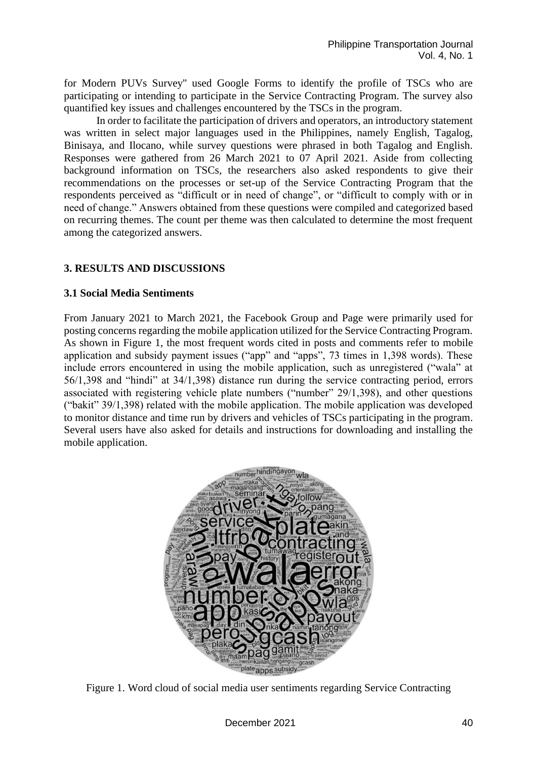for Modern PUVs Survey'' used Google Forms to identify the profile of TSCs who are participating or intending to participate in the Service Contracting Program. The survey also quantified key issues and challenges encountered by the TSCs in the program.

In order to facilitate the participation of drivers and operators, an introductory statement was written in select major languages used in the Philippines, namely English, Tagalog, Binisaya, and Ilocano, while survey questions were phrased in both Tagalog and English. Responses were gathered from 26 March 2021 to 07 April 2021. Aside from collecting background information on TSCs, the researchers also asked respondents to give their recommendations on the processes or set-up of the Service Contracting Program that the respondents perceived as "difficult or in need of change", or "difficult to comply with or in need of change." Answers obtained from these questions were compiled and categorized based on recurring themes. The count per theme was then calculated to determine the most frequent among the categorized answers.

### **3. RESULTS AND DISCUSSIONS**

#### **3.1 Social Media Sentiments**

From January 2021 to March 2021, the Facebook Group and Page were primarily used for posting concerns regarding the mobile application utilized for the Service Contracting Program. As shown in Figure 1, the most frequent words cited in posts and comments refer to mobile application and subsidy payment issues ("app" and "apps", 73 times in 1,398 words). These include errors encountered in using the mobile application, such as unregistered ("wala" at 56/1,398 and "hindi" at 34/1,398) distance run during the service contracting period, errors associated with registering vehicle plate numbers ("number" 29/1,398), and other questions ("bakit" 39/1,398) related with the mobile application. The mobile application was developed to monitor distance and time run by drivers and vehicles of TSCs participating in the program. Several users have also asked for details and instructions for downloading and installing the mobile application.



Figure 1. Word cloud of social media user sentiments regarding Service Contracting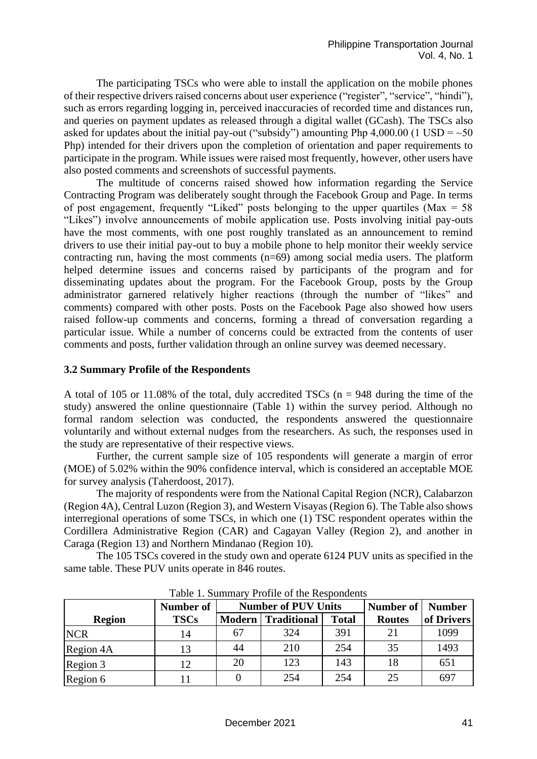The participating TSCs who were able to install the application on the mobile phones of their respective drivers raised concerns about user experience ("register", "service", "hindi"), such as errors regarding logging in, perceived inaccuracies of recorded time and distances run, and queries on payment updates as released through a digital wallet (GCash). The TSCs also asked for updates about the initial pay-out ("subsidy") amounting Php 4,000.00 (1 USD =  $~50$ Php) intended for their drivers upon the completion of orientation and paper requirements to participate in the program. While issues were raised most frequently, however, other users have also posted comments and screenshots of successful payments.

The multitude of concerns raised showed how information regarding the Service Contracting Program was deliberately sought through the Facebook Group and Page. In terms of post engagement, frequently "Liked" posts belonging to the upper quartiles ( $Max = 58$ ) "Likes") involve announcements of mobile application use. Posts involving initial pay-outs have the most comments, with one post roughly translated as an announcement to remind drivers to use their initial pay-out to buy a mobile phone to help monitor their weekly service contracting run, having the most comments (n=69) among social media users. The platform helped determine issues and concerns raised by participants of the program and for disseminating updates about the program. For the Facebook Group, posts by the Group administrator garnered relatively higher reactions (through the number of "likes" and comments) compared with other posts. Posts on the Facebook Page also showed how users raised follow-up comments and concerns, forming a thread of conversation regarding a particular issue. While a number of concerns could be extracted from the contents of user comments and posts, further validation through an online survey was deemed necessary.

#### **3.2 Summary Profile of the Respondents**

A total of 105 or 11.08% of the total, duly accredited TSCs ( $n = 948$  during the time of the study) answered the online questionnaire (Table 1) within the survey period. Although no formal random selection was conducted, the respondents answered the questionnaire voluntarily and without external nudges from the researchers. As such, the responses used in the study are representative of their respective views.

Further, the current sample size of 105 respondents will generate a margin of error (MOE) of 5.02% within the 90% confidence interval, which is considered an acceptable MOE for survey analysis (Taherdoost, 2017).

The majority of respondents were from the National Capital Region (NCR), Calabarzon (Region 4A), Central Luzon (Region 3), and Western Visayas (Region 6). The Table also shows interregional operations of some TSCs, in which one (1) TSC respondent operates within the Cordillera Administrative Region (CAR) and Cagayan Valley (Region 2), and another in Caraga (Region 13) and Northern Mindanao (Region 10).

The 105 TSCs covered in the study own and operate 6124 PUV units as specified in the same table. These PUV units operate in 846 routes.

|               | Number of   | <b>Number of PUV Units</b> |                           |              | Number of     | <b>Number</b> |
|---------------|-------------|----------------------------|---------------------------|--------------|---------------|---------------|
| <b>Region</b> | <b>TSCs</b> |                            | <b>Modern Traditional</b> | <b>Total</b> | <b>Routes</b> | of Drivers    |
| <b>NCR</b>    | 14          |                            | 324                       | 391          | 21            | 1099          |
| Region 4A     | 13          | 44                         | 210                       | 254          | 35            | 1493          |
| Region 3      | 12          | 20                         | 123                       | 143          | 18            | 651           |
| Region 6      |             |                            | 254                       | 254          | 25            | 697           |

Table 1. Summary Profile of the Respondents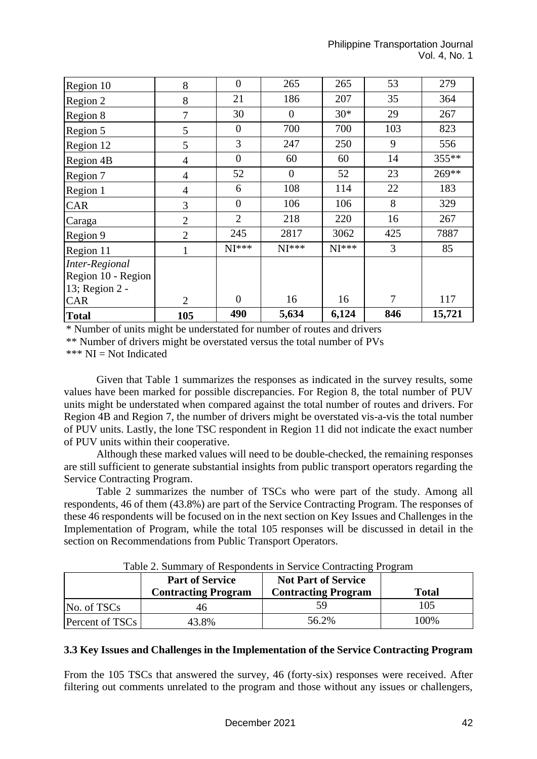| Region 10          | 8              | $\overline{0}$ | 265      | 265     | 53             | 279    |
|--------------------|----------------|----------------|----------|---------|----------------|--------|
| Region 2           | 8              | 21             | 186      | 207     | 35             | 364    |
| Region 8           | 7              | 30             | $\theta$ | $30*$   | 29             | 267    |
| Region 5           | 5              | $\theta$       | 700      | 700     | 103            | 823    |
| Region 12          | 5              | 3              | 247      | 250     | 9              | 556    |
| Region 4B          | $\overline{4}$ | $\overline{0}$ | 60       | 60      | 14             | 355**  |
| Region 7           | $\overline{4}$ | 52             | $\theta$ | 52      | 23             | 269**  |
| Region 1           | $\overline{4}$ | 6              | 108      | 114     | 22             | 183    |
| <b>CAR</b>         | 3              | $\theta$       | 106      | 106     | 8              | 329    |
| Caraga             | $\overline{2}$ | $\overline{2}$ | 218      | 220     | 16             | 267    |
| Region 9           | $\overline{2}$ | 245            | 2817     | 3062    | 425            | 7887   |
| Region 11          | $\mathbf{1}$   | $NI***$        | $NI***$  | $NI***$ | 3              | 85     |
| Inter-Regional     |                |                |          |         |                |        |
| Region 10 - Region |                |                |          |         |                |        |
| 13; Region 2 -     |                |                |          |         |                |        |
| CAR                | $\overline{2}$ | $\theta$       | 16       | 16      | $\overline{7}$ | 117    |
| <b>Total</b>       | 105            | 490            | 5,634    | 6,124   | 846            | 15,721 |

\* Number of units might be understated for number of routes and drivers

\*\* Number of drivers might be overstated versus the total number of PVs

\*\*\* NI = Not Indicated

Given that Table 1 summarizes the responses as indicated in the survey results, some values have been marked for possible discrepancies. For Region 8, the total number of PUV units might be understated when compared against the total number of routes and drivers. For Region 4B and Region 7, the number of drivers might be overstated vis-a-vis the total number of PUV units. Lastly, the lone TSC respondent in Region 11 did not indicate the exact number of PUV units within their cooperative.

Although these marked values will need to be double-checked, the remaining responses are still sufficient to generate substantial insights from public transport operators regarding the Service Contracting Program.

Table 2 summarizes the number of TSCs who were part of the study. Among all respondents, 46 of them (43.8%) are part of the Service Contracting Program. The responses of these 46 respondents will be focused on in the next section on Key Issues and Challenges in the Implementation of Program, while the total 105 responses will be discussed in detail in the section on Recommendations from Public Transport Operators.

|                 | <b>Part of Service</b><br><b>Contracting Program</b> | <b>Not Part of Service</b><br><b>Contracting Program</b> | <b>Total</b> |
|-----------------|------------------------------------------------------|----------------------------------------------------------|--------------|
| No. of TSCs     | 46                                                   |                                                          | 105          |
| Percent of TSCs | 43.8%                                                | 56.2%                                                    | 100%         |

Table 2. Summary of Respondents in Service Contracting Program

#### **3.3 Key Issues and Challenges in the Implementation of the Service Contracting Program**

From the 105 TSCs that answered the survey, 46 (forty-six) responses were received. After filtering out comments unrelated to the program and those without any issues or challengers,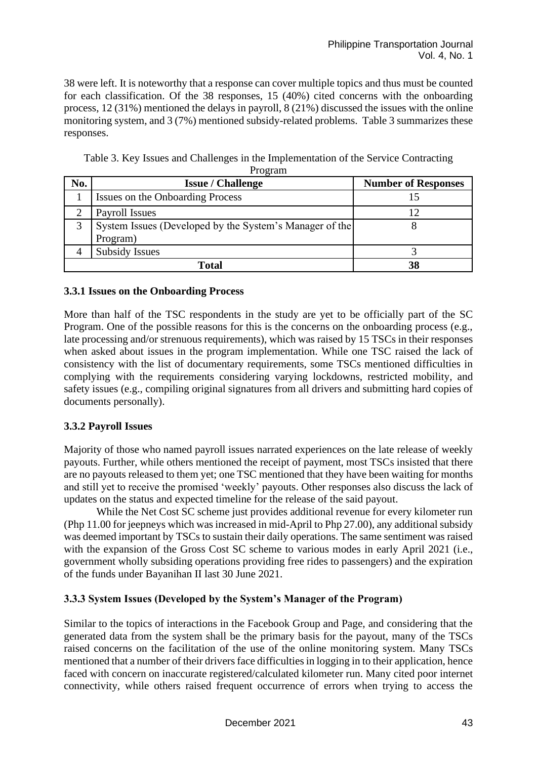38 were left. It is noteworthy that a response can cover multiple topics and thus must be counted for each classification. Of the 38 responses, 15 (40%) cited concerns with the onboarding process, 12 (31%) mentioned the delays in payroll, 8 (21%) discussed the issues with the online monitoring system, and 3 (7%) mentioned subsidy-related problems. Table 3 summarizes these responses.

| No. | <b>Issue / Challenge</b>                                | <b>Number of Responses</b> |
|-----|---------------------------------------------------------|----------------------------|
|     | Issues on the Onboarding Process                        |                            |
|     | Payroll Issues                                          |                            |
| 3   | System Issues (Developed by the System's Manager of the |                            |
|     | Program)                                                |                            |
|     | Subsidy Issues                                          |                            |
|     | Total                                                   | 38                         |

Table 3. Key Issues and Challenges in the Implementation of the Service Contracting Program

#### **3.3.1 Issues on the Onboarding Process**

More than half of the TSC respondents in the study are yet to be officially part of the SC Program. One of the possible reasons for this is the concerns on the onboarding process (e.g., late processing and/or strenuous requirements), which was raised by 15 TSCs in their responses when asked about issues in the program implementation. While one TSC raised the lack of consistency with the list of documentary requirements, some TSCs mentioned difficulties in complying with the requirements considering varying lockdowns, restricted mobility, and safety issues (e.g., compiling original signatures from all drivers and submitting hard copies of documents personally).

# **3.3.2 Payroll Issues**

Majority of those who named payroll issues narrated experiences on the late release of weekly payouts. Further, while others mentioned the receipt of payment, most TSCs insisted that there are no payouts released to them yet; one TSC mentioned that they have been waiting for months and still yet to receive the promised 'weekly' payouts. Other responses also discuss the lack of updates on the status and expected timeline for the release of the said payout.

While the Net Cost SC scheme just provides additional revenue for every kilometer run (Php 11.00 for jeepneys which was increased in mid-April to Php 27.00), any additional subsidy was deemed important by TSCs to sustain their daily operations. The same sentiment was raised with the expansion of the Gross Cost SC scheme to various modes in early April 2021 (i.e., government wholly subsiding operations providing free rides to passengers) and the expiration of the funds under Bayanihan II last 30 June 2021.

# **3.3.3 System Issues (Developed by the System's Manager of the Program)**

Similar to the topics of interactions in the Facebook Group and Page, and considering that the generated data from the system shall be the primary basis for the payout, many of the TSCs raised concerns on the facilitation of the use of the online monitoring system. Many TSCs mentioned that a number of their drivers face difficulties in logging in to their application, hence faced with concern on inaccurate registered/calculated kilometer run. Many cited poor internet connectivity, while others raised frequent occurrence of errors when trying to access the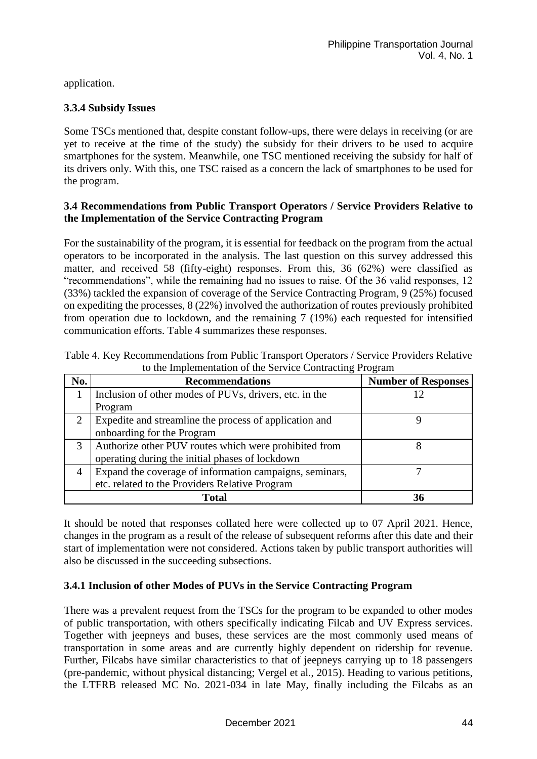application.

# **3.3.4 Subsidy Issues**

Some TSCs mentioned that, despite constant follow-ups, there were delays in receiving (or are yet to receive at the time of the study) the subsidy for their drivers to be used to acquire smartphones for the system. Meanwhile, one TSC mentioned receiving the subsidy for half of its drivers only. With this, one TSC raised as a concern the lack of smartphones to be used for the program.

### **3.4 Recommendations from Public Transport Operators / Service Providers Relative to the Implementation of the Service Contracting Program**

For the sustainability of the program, it is essential for feedback on the program from the actual operators to be incorporated in the analysis. The last question on this survey addressed this matter, and received 58 (fifty-eight) responses. From this, 36 (62%) were classified as "recommendations", while the remaining had no issues to raise. Of the 36 valid responses, 12 (33%) tackled the expansion of coverage of the Service Contracting Program, 9 (25%) focused on expediting the processes, 8 (22%) involved the authorization of routes previously prohibited from operation due to lockdown, and the remaining 7 (19%) each requested for intensified communication efforts. Table 4 summarizes these responses.

| No. | <b>Recommendations</b>                                  | <b>Number of Responses</b> |
|-----|---------------------------------------------------------|----------------------------|
|     | Inclusion of other modes of PUVs, drivers, etc. in the  |                            |
|     | Program                                                 |                            |
|     | Expedite and streamline the process of application and  |                            |
|     | onboarding for the Program                              |                            |
|     | Authorize other PUV routes which were prohibited from   |                            |
|     | operating during the initial phases of lockdown         |                            |
| 4   | Expand the coverage of information campaigns, seminars, |                            |
|     | etc. related to the Providers Relative Program          |                            |
|     | <b>Total</b>                                            |                            |

Table 4. Key Recommendations from Public Transport Operators / Service Providers Relative to the Implementation of the Service Contracting Program

It should be noted that responses collated here were collected up to 07 April 2021. Hence, changes in the program as a result of the release of subsequent reforms after this date and their start of implementation were not considered. Actions taken by public transport authorities will also be discussed in the succeeding subsections.

# **3.4.1 Inclusion of other Modes of PUVs in the Service Contracting Program**

There was a prevalent request from the TSCs for the program to be expanded to other modes of public transportation, with others specifically indicating Filcab and UV Express services. Together with jeepneys and buses, these services are the most commonly used means of transportation in some areas and are currently highly dependent on ridership for revenue. Further, Filcabs have similar characteristics to that of jeepneys carrying up to 18 passengers (pre-pandemic, without physical distancing; Vergel et al., 2015). Heading to various petitions, the LTFRB released MC No. 2021-034 in late May, finally including the Filcabs as an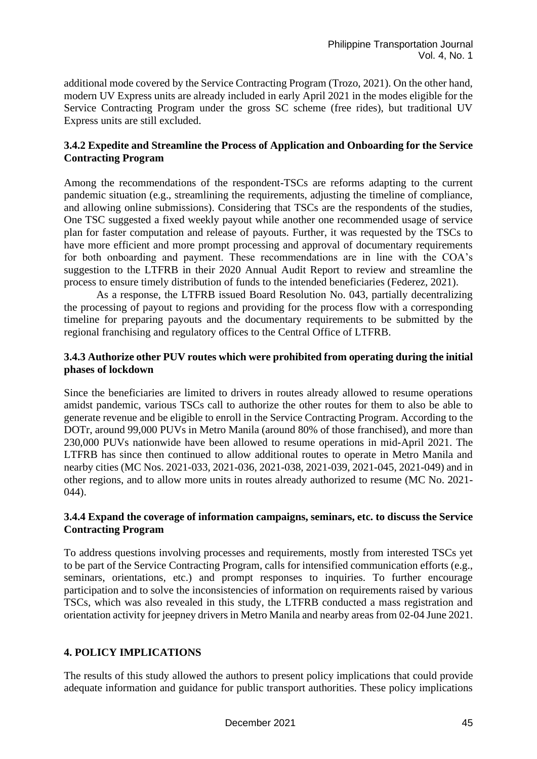additional mode covered by the Service Contracting Program (Trozo, 2021). On the other hand, modern UV Express units are already included in early April 2021 in the modes eligible for the Service Contracting Program under the gross SC scheme (free rides), but traditional UV Express units are still excluded.

### **3.4.2 Expedite and Streamline the Process of Application and Onboarding for the Service Contracting Program**

Among the recommendations of the respondent-TSCs are reforms adapting to the current pandemic situation (e.g., streamlining the requirements, adjusting the timeline of compliance, and allowing online submissions). Considering that TSCs are the respondents of the studies, One TSC suggested a fixed weekly payout while another one recommended usage of service plan for faster computation and release of payouts. Further, it was requested by the TSCs to have more efficient and more prompt processing and approval of documentary requirements for both onboarding and payment. These recommendations are in line with the COA's suggestion to the LTFRB in their 2020 Annual Audit Report to review and streamline the process to ensure timely distribution of funds to the intended beneficiaries (Federez, 2021).

As a response, the LTFRB issued Board Resolution No. 043, partially decentralizing the processing of payout to regions and providing for the process flow with a corresponding timeline for preparing payouts and the documentary requirements to be submitted by the regional franchising and regulatory offices to the Central Office of LTFRB.

### **3.4.3 Authorize other PUV routes which were prohibited from operating during the initial phases of lockdown**

Since the beneficiaries are limited to drivers in routes already allowed to resume operations amidst pandemic, various TSCs call to authorize the other routes for them to also be able to generate revenue and be eligible to enroll in the Service Contracting Program. According to the DOTr, around 99,000 PUVs in Metro Manila (around 80% of those franchised), and more than 230,000 PUVs nationwide have been allowed to resume operations in mid-April 2021. The LTFRB has since then continued to allow additional routes to operate in Metro Manila and nearby cities (MC Nos. 2021-033, 2021-036, 2021-038, 2021-039, 2021-045, 2021-049) and in other regions, and to allow more units in routes already authorized to resume (MC No. 2021- 044).

### **3.4.4 Expand the coverage of information campaigns, seminars, etc. to discuss the Service Contracting Program**

To address questions involving processes and requirements, mostly from interested TSCs yet to be part of the Service Contracting Program, calls for intensified communication efforts (e.g., seminars, orientations, etc.) and prompt responses to inquiries. To further encourage participation and to solve the inconsistencies of information on requirements raised by various TSCs, which was also revealed in this study, the LTFRB conducted a mass registration and orientation activity for jeepney drivers in Metro Manila and nearby areas from 02-04 June 2021.

# **4. POLICY IMPLICATIONS**

The results of this study allowed the authors to present policy implications that could provide adequate information and guidance for public transport authorities. These policy implications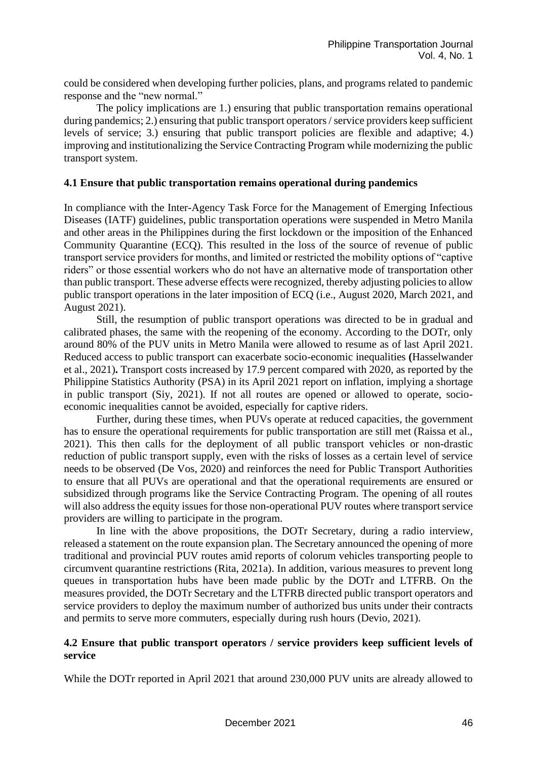could be considered when developing further policies, plans, and programs related to pandemic response and the "new normal."

The policy implications are 1.) ensuring that public transportation remains operational during pandemics; 2.) ensuring that public transport operators / service providers keep sufficient levels of service; 3.) ensuring that public transport policies are flexible and adaptive; 4.) improving and institutionalizing the Service Contracting Program while modernizing the public transport system.

### **4.1 Ensure that public transportation remains operational during pandemics**

In compliance with the Inter-Agency Task Force for the Management of Emerging Infectious Diseases (IATF) guidelines, public transportation operations were suspended in Metro Manila and other areas in the Philippines during the first lockdown or the imposition of the Enhanced Community Quarantine (ECQ). This resulted in the loss of the source of revenue of public transport service providers for months, and limited or restricted the mobility options of "captive riders" or those essential workers who do not have an alternative mode of transportation other than public transport. These adverse effects were recognized, thereby adjusting policies to allow public transport operations in the later imposition of ECQ (i.e., August 2020, March 2021, and August 2021).

Still, the resumption of public transport operations was directed to be in gradual and calibrated phases, the same with the reopening of the economy. According to the DOTr, only around 80% of the PUV units in Metro Manila were allowed to resume as of last April 2021. Reduced access to public transport can exacerbate socio-economic inequalities **(**Hasselwander et al., 2021)**.** Transport costs increased by 17.9 percent compared with 2020, as reported by the Philippine Statistics Authority (PSA) in its April 2021 report on inflation, implying a shortage in public transport (Siy, 2021). If not all routes are opened or allowed to operate, socioeconomic inequalities cannot be avoided, especially for captive riders.

Further, during these times, when PUVs operate at reduced capacities, the government has to ensure the operational requirements for public transportation are still met (Raissa et al., 2021). This then calls for the deployment of all public transport vehicles or non-drastic reduction of public transport supply, even with the risks of losses as a certain level of service needs to be observed (De Vos, 2020) and reinforces the need for Public Transport Authorities to ensure that all PUVs are operational and that the operational requirements are ensured or subsidized through programs like the Service Contracting Program. The opening of all routes will also address the equity issues for those non-operational PUV routes where transport service providers are willing to participate in the program.

In line with the above propositions, the DOTr Secretary, during a radio interview, released a statement on the route expansion plan. The Secretary announced the opening of more traditional and provincial PUV routes amid reports of colorum vehicles transporting people to circumvent quarantine restrictions (Rita, 2021a). In addition, various measures to prevent long queues in transportation hubs have been made public by the DOTr and LTFRB. On the measures provided, the DOTr Secretary and the LTFRB directed public transport operators and service providers to deploy the maximum number of authorized bus units under their contracts and permits to serve more commuters, especially during rush hours (Devio, 2021).

### **4.2 Ensure that public transport operators / service providers keep sufficient levels of service**

While the DOTr reported in April 2021 that around 230,000 PUV units are already allowed to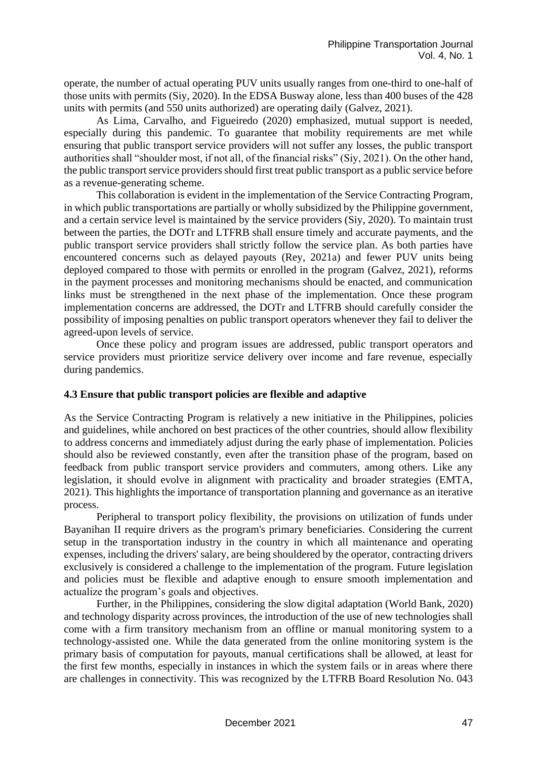operate, the number of actual operating PUV units usually ranges from one-third to one-half of those units with permits (Siy, 2020). In the EDSA Busway alone, less than 400 buses of the 428 units with permits (and 550 units authorized) are operating daily (Galvez, 2021).

As Lima, Carvalho, and Figueiredo (2020) emphasized, mutual support is needed, especially during this pandemic. To guarantee that mobility requirements are met while ensuring that public transport service providers will not suffer any losses, the public transport authorities shall "shoulder most, if not all, of the financial risks" (Siy, 2021). On the other hand, the public transport service providers should first treat public transport as a public service before as a revenue-generating scheme.

This collaboration is evident in the implementation of the Service Contracting Program, in which public transportations are partially or wholly subsidized by the Philippine government, and a certain service level is maintained by the service providers (Siy, 2020). To maintain trust between the parties, the DOTr and LTFRB shall ensure timely and accurate payments, and the public transport service providers shall strictly follow the service plan. As both parties have encountered concerns such as delayed payouts (Rey, 2021a) and fewer PUV units being deployed compared to those with permits or enrolled in the program (Galvez, 2021), reforms in the payment processes and monitoring mechanisms should be enacted, and communication links must be strengthened in the next phase of the implementation. Once these program implementation concerns are addressed, the DOTr and LTFRB should carefully consider the possibility of imposing penalties on public transport operators whenever they fail to deliver the agreed-upon levels of service.

Once these policy and program issues are addressed, public transport operators and service providers must prioritize service delivery over income and fare revenue, especially during pandemics.

#### **4.3 Ensure that public transport policies are flexible and adaptive**

As the Service Contracting Program is relatively a new initiative in the Philippines, policies and guidelines, while anchored on best practices of the other countries, should allow flexibility to address concerns and immediately adjust during the early phase of implementation. Policies should also be reviewed constantly, even after the transition phase of the program, based on feedback from public transport service providers and commuters, among others. Like any legislation, it should evolve in alignment with practicality and broader strategies (EMTA, 2021). This highlights the importance of transportation planning and governance as an iterative process.

Peripheral to transport policy flexibility, the provisions on utilization of funds under Bayanihan II require drivers as the program's primary beneficiaries. Considering the current setup in the transportation industry in the country in which all maintenance and operating expenses, including the drivers' salary, are being shouldered by the operator, contracting drivers exclusively is considered a challenge to the implementation of the program. Future legislation and policies must be flexible and adaptive enough to ensure smooth implementation and actualize the program's goals and objectives.

Further, in the Philippines, considering the slow digital adaptation (World Bank, 2020) and technology disparity across provinces, the introduction of the use of new technologies shall come with a firm transitory mechanism from an offline or manual monitoring system to a technology-assisted one. While the data generated from the online monitoring system is the primary basis of computation for payouts, manual certifications shall be allowed, at least for the first few months, especially in instances in which the system fails or in areas where there are challenges in connectivity. This was recognized by the LTFRB Board Resolution No. 043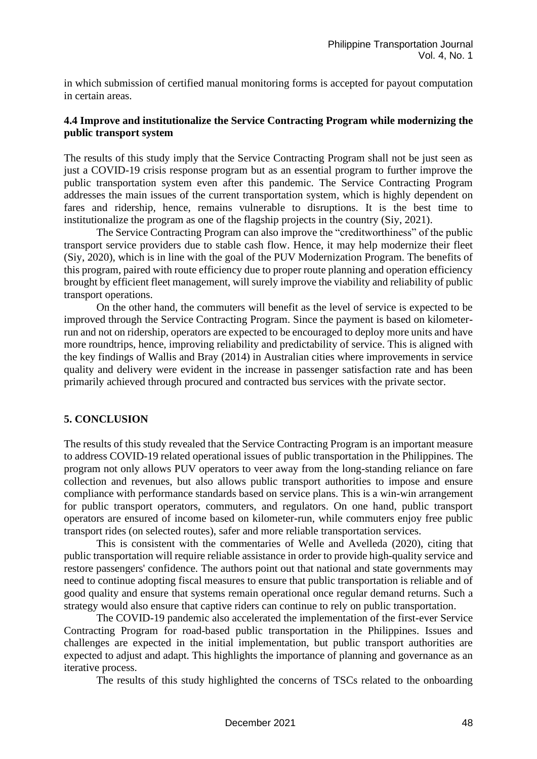in which submission of certified manual monitoring forms is accepted for payout computation in certain areas.

### **4.4 Improve and institutionalize the Service Contracting Program while modernizing the public transport system**

The results of this study imply that the Service Contracting Program shall not be just seen as just a COVID-19 crisis response program but as an essential program to further improve the public transportation system even after this pandemic. The Service Contracting Program addresses the main issues of the current transportation system, which is highly dependent on fares and ridership, hence, remains vulnerable to disruptions. It is the best time to institutionalize the program as one of the flagship projects in the country (Siy, 2021).

The Service Contracting Program can also improve the "creditworthiness" of the public transport service providers due to stable cash flow. Hence, it may help modernize their fleet (Siy, 2020), which is in line with the goal of the PUV Modernization Program. The benefits of this program, paired with route efficiency due to proper route planning and operation efficiency brought by efficient fleet management, will surely improve the viability and reliability of public transport operations.

On the other hand, the commuters will benefit as the level of service is expected to be improved through the Service Contracting Program. Since the payment is based on kilometerrun and not on ridership, operators are expected to be encouraged to deploy more units and have more roundtrips, hence, improving reliability and predictability of service. This is aligned with the key findings of Wallis and Bray (2014) in Australian cities where improvements in service quality and delivery were evident in the increase in passenger satisfaction rate and has been primarily achieved through procured and contracted bus services with the private sector.

#### **5. CONCLUSION**

The results of this study revealed that the Service Contracting Program is an important measure to address COVID-19 related operational issues of public transportation in the Philippines. The program not only allows PUV operators to veer away from the long-standing reliance on fare collection and revenues, but also allows public transport authorities to impose and ensure compliance with performance standards based on service plans. This is a win-win arrangement for public transport operators, commuters, and regulators. On one hand, public transport operators are ensured of income based on kilometer-run, while commuters enjoy free public transport rides (on selected routes), safer and more reliable transportation services.

This is consistent with the commentaries of Welle and Avelleda (2020), citing that public transportation will require reliable assistance in order to provide high-quality service and restore passengers' confidence. The authors point out that national and state governments may need to continue adopting fiscal measures to ensure that public transportation is reliable and of good quality and ensure that systems remain operational once regular demand returns. Such a strategy would also ensure that captive riders can continue to rely on public transportation.

The COVID-19 pandemic also accelerated the implementation of the first-ever Service Contracting Program for road-based public transportation in the Philippines. Issues and challenges are expected in the initial implementation, but public transport authorities are expected to adjust and adapt. This highlights the importance of planning and governance as an iterative process.

The results of this study highlighted the concerns of TSCs related to the onboarding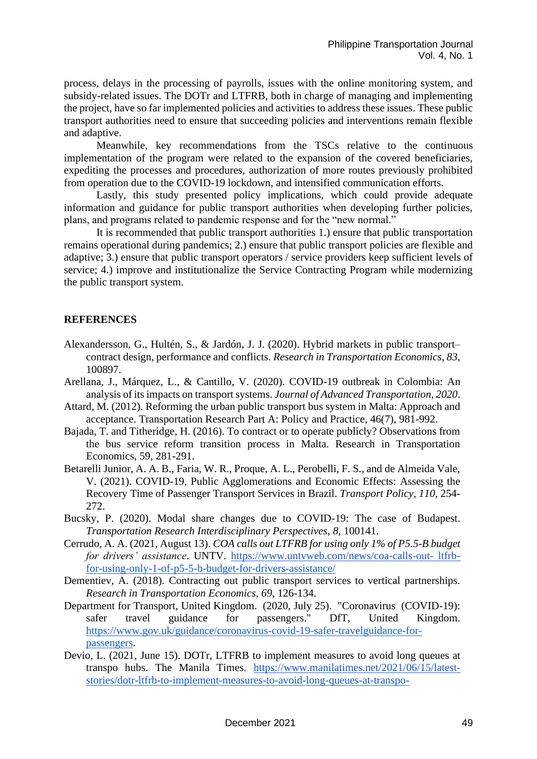process, delays in the processing of payrolls, issues with the online monitoring system, and subsidy-related issues. The DOTr and LTFRB, both in charge of managing and implementing the project, have so far implemented policies and activities to address these issues. These public transport authorities need to ensure that succeeding policies and interventions remain flexible and adaptive.

Meanwhile, key recommendations from the TSCs relative to the continuous implementation of the program were related to the expansion of the covered beneficiaries, expediting the processes and procedures, authorization of more routes previously prohibited from operation due to the COVID-19 lockdown, and intensified communication efforts.

Lastly, this study presented policy implications, which could provide adequate information and guidance for public transport authorities when developing further policies, plans, and programs related to pandemic response and for the "new normal."

It is recommended that public transport authorities 1.) ensure that public transportation remains operational during pandemics; 2.) ensure that public transport policies are flexible and adaptive; 3.) ensure that public transport operators / service providers keep sufficient levels of service; 4.) improve and institutionalize the Service Contracting Program while modernizing the public transport system.

### **REFERENCES**

- Alexandersson, G., Hultén, S., & Jardón, J. J. (2020). Hybrid markets in public transport– contract design, performance and conflicts. *Research in Transportation Economics*, *83*, 100897.
- Arellana, J., Márquez, L., & Cantillo, V. (2020). COVID-19 outbreak in Colombia: An analysis of its impacts on transport systems. *Journal of Advanced Transportation, 2020*.
- Attard, M. (2012). Reforming the urban public transport bus system in Malta: Approach and acceptance. Transportation Research Part A: Policy and Practice, 46(7), 981-992.
- Bajada, T. and Titheridge, H. (2016). To contract or to operate publicly? Observations from the bus service reform transition process in Malta. Research in Transportation Economics, 59, 281-291.
- Betarelli Junior, A. A. B., Faria, W. R., Proque, A. L., Perobelli, F. S., and de Almeida Vale, V. (2021). COVID-19, Public Agglomerations and Economic Effects: Assessing the Recovery Time of Passenger Transport Services in Brazil. *Transport Policy, 110*, 254- 272.
- Bucsky, P. (2020). Modal share changes due to COVID-19: The case of Budapest. *Transportation Research Interdisciplinary Perspectives*, *8*, 100141.
- Cerrudo, A. A. (2021, August 13). *COA calls out LTFRB for using only 1% of P5.5-B budget for drivers' assistance*. UNTV. [https://www.untvweb.com/news/coa-calls-out-](https://www.untvweb.com/news/coa-calls-out-ltfrb-for-using-only-1-of-p5-5-b-budget-for-drivers-assistance/) ltfrb[for-using-only-1-of-p5-5-b-budget-for-drivers-assistance/](https://www.untvweb.com/news/coa-calls-out-ltfrb-for-using-only-1-of-p5-5-b-budget-for-drivers-assistance/)
- Dementiev, A. (2018). Contracting out public transport services to vertical partnerships. *Research in Transportation Economics*, *69*, 126-134.
- Department for Transport, United Kingdom. (2020, July 25). "Coronavirus (COVID-19): safer travel guidance for passengers." DfT, United Kingdom. [https://www.gov.uk/guidance/coronavirus-covid-19-safer-travelguidance-for](https://www.gov.uk/guidance/coronavirus-covid-19-safer-travelguidance-for-passengers)[passengers.](https://www.gov.uk/guidance/coronavirus-covid-19-safer-travelguidance-for-passengers)
- Devio, L. (2021, June 15). DOTr, LTFRB to implement measures to avoid long queues at transpo hubs. The Manila Times. [https://www.manilatimes.net/2021/06/15/latest](https://www.manilatimes.net/2021/06/15/latest-stories/dotr-ltfrb-to-implement-measures-to-avoid-long-queues-at-transpo-hubs/1803298)[stories/dotr-ltfrb-to-implement-measures-to-avoid-long-queues-at-transpo-](https://www.manilatimes.net/2021/06/15/latest-stories/dotr-ltfrb-to-implement-measures-to-avoid-long-queues-at-transpo-hubs/1803298)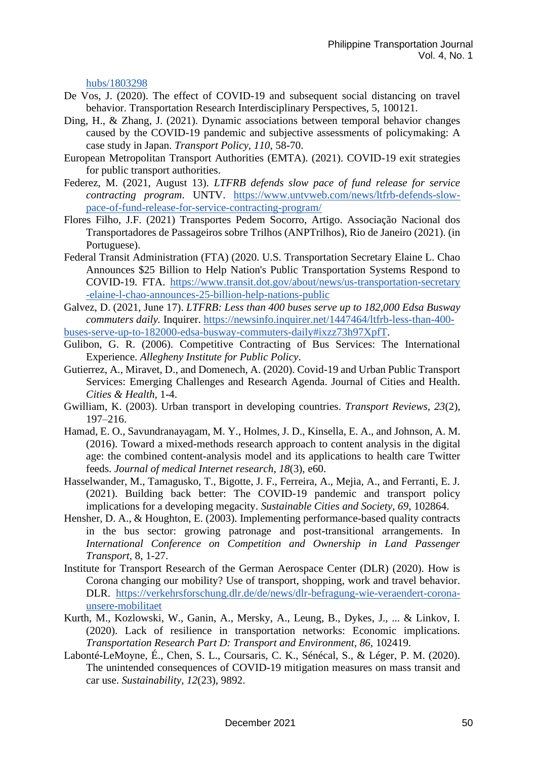[hubs/1803298](https://www.manilatimes.net/2021/06/15/latest-stories/dotr-ltfrb-to-implement-measures-to-avoid-long-queues-at-transpo-hubs/1803298) 

- De Vos, J. (2020). The effect of COVID-19 and subsequent social distancing on travel behavior. Transportation Research Interdisciplinary Perspectives, 5, 100121.
- Ding, H., & Zhang, J. (2021). Dynamic associations between temporal behavior changes caused by the COVID-19 pandemic and subjective assessments of policymaking: A case study in Japan. *Transport Policy, 110*, 58-70.
- European Metropolitan Transport Authorities (EMTA). (2021). COVID-19 exit strategies for public transport authorities.
- Federez, M. (2021, August 13). *LTFRB defends slow pace of fund release for service contracting program*. UNTV. [https://www.untvweb.com/news/ltfrb-defends-slow](https://www.untvweb.com/news/ltfrb-defends-slow-pace-of-fund-release-for-service-contracting-program/)[pace-of-fund-release-for-service-contracting-program/](https://www.untvweb.com/news/ltfrb-defends-slow-pace-of-fund-release-for-service-contracting-program/)
- Flores Filho, J.F. (2021) Transportes Pedem Socorro, Artigo. Associação Nacional dos Transportadores de Passageiros sobre Trilhos (ANPTrilhos), Rio de Janeiro (2021). (in Portuguese).
- Federal Transit Administration (FTA) (2020. U.S. Transportation Secretary Elaine L. Chao Announces \$25 Billion to Help Nation's Public Transportation Systems Respond to COVID-19. FTA. [https://www.transit.dot.gov/about/news/us-transportation-secretary](https://www.transit.dot.gov/about/news/us-transportation-secretary-elaine-l-chao-announces-25-billion-help-nations-public)  [-elaine-l-chao-announces-25-billion-help-nations-public](https://www.transit.dot.gov/about/news/us-transportation-secretary-elaine-l-chao-announces-25-billion-help-nations-public)
- Galvez, D. (2021, June 17). *LTFRB: Less than 400 buses serve up to 182,000 Edsa Busway commuters daily.* Inquirer. [https://newsinfo.inquirer.net/1447464/ltfrb-less-than-400-](https://newsinfo.inquirer.net/1447464/ltfrb-less-than-400-buses-serve-up-to-182000-edsa-busway-commuters-daily#ixzz73h97XpfT)

[buses-serve-up-to-182000-edsa-busway-commuters-daily#ixzz73h97XpfT.](https://newsinfo.inquirer.net/1447464/ltfrb-less-than-400-buses-serve-up-to-182000-edsa-busway-commuters-daily#ixzz73h97XpfT)

- Gulibon, G. R. (2006). Competitive Contracting of Bus Services: The International Experience. *Allegheny Institute for Public Policy*.
- Gutierrez, A., Miravet, D., and Domenech, A. (2020). Covid-19 and Urban Public Transport Services: Emerging Challenges and Research Agenda. Journal of Cities and Health. *Cities & Health,* 1-4.
- Gwilliam, K. (2003). Urban transport in developing countries. *Transport Reviews, 23*(2), 197–216.
- Hamad, E. O., Savundranayagam, M. Y., Holmes, J. D., Kinsella, E. A., and Johnson, A. M. (2016). Toward a mixed-methods research approach to content analysis in the digital age: the combined content-analysis model and its applications to health care Twitter feeds. *Journal of medical Internet research*, *18*(3), e60.
- Hasselwander, M., Tamagusko, T., Bigotte, J. F., Ferreira, A., Mejia, A., and Ferranti, E. J. (2021). Building back better: The COVID-19 pandemic and transport policy implications for a developing megacity. *Sustainable Cities and Society, 69*, 102864.
- Hensher, D. A., & Houghton, E. (2003). Implementing performance-based quality contracts in the bus sector: growing patronage and post-transitional arrangements. In *International Conference on Competition and Ownership in Land Passenger Transport,* 8, 1-27.
- Institute for Transport Research of the German Aerospace Center (DLR) (2020). How is Corona changing our mobility? Use of transport, shopping, work and travel behavior. DLR. [https://verkehrsforschung.dlr.de/de/news/dlr-befragung-wie-veraendert-corona](https://verkehrsforschung.dlr.de/de/news/dlr-befragung-wie-veraendert-corona-unsere-mobilitaet)[unsere-mobilitaet](https://verkehrsforschung.dlr.de/de/news/dlr-befragung-wie-veraendert-corona-unsere-mobilitaet)
- Kurth, M., Kozlowski, W., Ganin, A., Mersky, A., Leung, B., Dykes, J., ... & Linkov, I. (2020). Lack of resilience in transportation networks: Economic implications. *Transportation Research Part D: Transport and Environment, 86,* 102419.
- Labonté-LeMoyne, É., Chen, S. L., Coursaris, C. K., Sénécal, S., & Léger, P. M. (2020). The unintended consequences of COVID-19 mitigation measures on mass transit and car use. *Sustainability, 12*(23), 9892.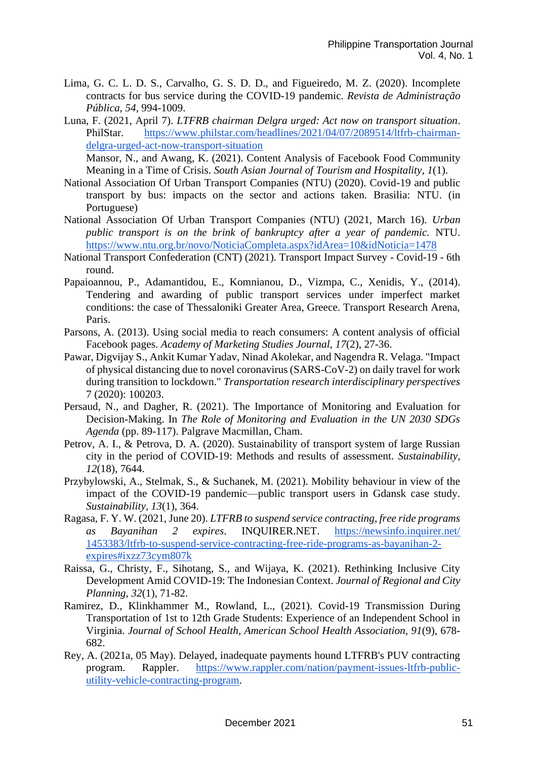- Lima, G. C. L. D. S., Carvalho, G. S. D. D., and Figueiredo, M. Z. (2020). Incomplete contracts for bus service during the COVID-19 pandemic. *Revista de Administração Pública*, *54*, 994-1009.
- Luna, F. (2021, April 7). *LTFRB chairman Delgra urged: Act now on transport situation*. PhilStar. [https://www.philstar.com/headlines/2021/04/07/2089514/ltfrb-chairman](https://www.philstar.com/headlines/2021/04/07/2089514/ltfrb-chairman-delgra-urged-act-now-transport-situation)[delgra-urged-act-now-transport-situation](https://www.philstar.com/headlines/2021/04/07/2089514/ltfrb-chairman-delgra-urged-act-now-transport-situation)

Mansor, N., and Awang, K. (2021). Content Analysis of Facebook Food Community Meaning in a Time of Crisis. *South Asian Journal of Tourism and Hospitality*, *1*(1).

- National Association Of Urban Transport Companies (NTU) (2020). Covid-19 and public transport by bus: impacts on the sector and actions taken. Brasilia: NTU. (in Portuguese)
- National Association Of Urban Transport Companies (NTU) (2021, March 16). *Urban public transport is on the brink of bankruptcy after a year of pandemic.* NTU. <https://www.ntu.org.br/novo/NoticiaCompleta.aspx?idArea=10&idNoticia=1478>
- National Transport Confederation (CNT) (2021). Transport Impact Survey Covid-19 6th round.
- Papaioannou, P., Adamantidou, E., Komnianou, D., Vizmpa, C., Xenidis, Y., (2014). Tendering and awarding of public transport services under imperfect market conditions: the case of Thessaloniki Greater Area, Greece. Transport Research Arena, Paris.
- Parsons, A. (2013). Using social media to reach consumers: A content analysis of official Facebook pages. *Academy of Marketing Studies Journal*, *17*(2), 27-36.
- Pawar, Digvijay S., Ankit Kumar Yadav, Ninad Akolekar, and Nagendra R. Velaga. "Impact of physical distancing due to novel coronavirus (SARS-CoV-2) on daily travel for work during transition to lockdown." *Transportation research interdisciplinary perspectives* 7 (2020): 100203.
- Persaud, N., and Dagher, R. (2021). The Importance of Monitoring and Evaluation for Decision-Making. In *The Role of Monitoring and Evaluation in the UN 2030 SDGs Agenda* (pp. 89-117). Palgrave Macmillan, Cham.
- Petrov, A. I., & Petrova, D. A. (2020). Sustainability of transport system of large Russian city in the period of COVID-19: Methods and results of assessment. *Sustainability, 12*(18), 7644.
- Przybylowski, A., Stelmak, S., & Suchanek, M. (2021). Mobility behaviour in view of the impact of the COVID-19 pandemic—public transport users in Gdansk case study. *Sustainability, 13*(1), 364.
- Ragasa, F. Y. W. (2021, June 20). *LTFRB to suspend service contracting, free ride programs as Bayanihan 2 expires*. INQUIRER.NET. [https://newsinfo.inquirer.net/](https://newsinfo.inquirer.net/1453383/ltfrb-to-suspend-service-contracting-free-ride-programs-as-bayanihan-2-expires#ixzz73cym807k)  [1453383/ltfrb-to-suspend-service-contracting-free-ride-programs-as-bayanihan-2](https://newsinfo.inquirer.net/1453383/ltfrb-to-suspend-service-contracting-free-ride-programs-as-bayanihan-2-expires#ixzz73cym807k) [expires#ixzz73cym807k](https://newsinfo.inquirer.net/1453383/ltfrb-to-suspend-service-contracting-free-ride-programs-as-bayanihan-2-expires#ixzz73cym807k)
- Raissa, G., Christy, F., Sihotang, S., and Wijaya, K. (2021). Rethinking Inclusive City Development Amid COVID-19: The Indonesian Context. *Journal of Regional and City Planning, 32*(1), 71-82.
- Ramirez, D., Klinkhammer M., Rowland, L., (2021). Covid-19 Transmission During Transportation of 1st to 12th Grade Students: Experience of an Independent School in Virginia. *Journal of School Health, American School Health Association, 91*(9), 678- 682.
- Rey, A. (2021a, 05 May). Delayed, inadequate payments hound LTFRB's PUV contracting program. Rappler. [https://www.rappler.com/nation/payment-issues-ltfrb-public](https://www.rappler.com/nation/payment-issues-ltfrb-public-utility-vehicle-contracting-program)[utility-vehicle-contracting-program.](https://www.rappler.com/nation/payment-issues-ltfrb-public-utility-vehicle-contracting-program)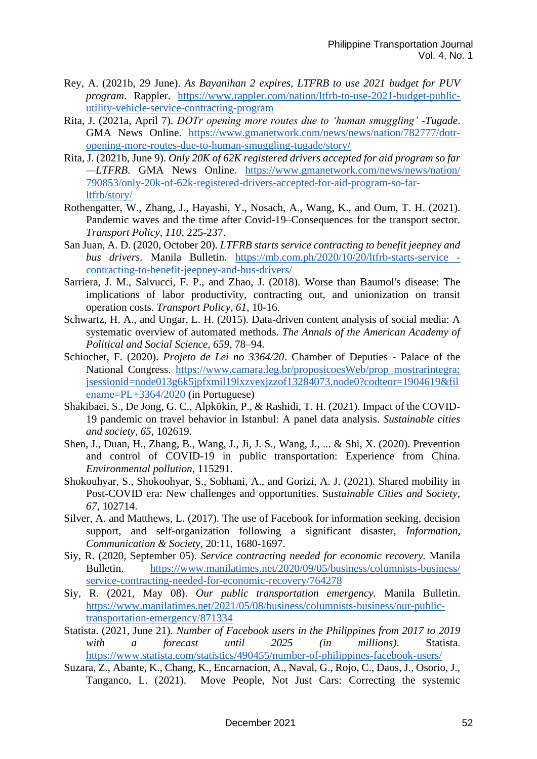- Rey, A. (2021b, 29 June). *As Bayanihan 2 expires, LTFRB to use 2021 budget for PUV program*. Rappler. [https://www.rappler.com/nation/ltfrb-to-use-2021-budget-public](https://www.rappler.com/nation/ltfrb-to-use-2021-budget-public-utility-vehicle-service-contracting-program)[utility-vehicle-service-contracting-program](https://www.rappler.com/nation/ltfrb-to-use-2021-budget-public-utility-vehicle-service-contracting-program)
- Rita, J. (2021a, April 7). *DOTr opening more routes due to 'human smuggling' -Tugade*. GMA News Online. [https://www.gmanetwork.com/news/news/nation/782777/dotr](https://www.gmanetwork.com/news/news/nation/782777/dotr-opening-more-routes-due-to-human-smuggling-tugade/story/)[opening-more-routes-due-to-human-smuggling-tugade/story/](https://www.gmanetwork.com/news/news/nation/782777/dotr-opening-more-routes-due-to-human-smuggling-tugade/story/)
- Rita, J. (2021b, June 9). *Only 20K of 62K registered drivers accepted for aid program so far —LTFRB*. GMA News Online. [https://www.gmanetwork.com/news/news/nation/](https://www.gmanetwork.com/news/news/nation/790853/only-20k-of-62k-registered-drivers-accepted-for-aid-program-so-far-ltfrb/story/)  [790853/only-20k-of-62k-registered-drivers-accepted-for-aid-program-so-far](https://www.gmanetwork.com/news/news/nation/790853/only-20k-of-62k-registered-drivers-accepted-for-aid-program-so-far-ltfrb/story/)[ltfrb/story/](https://www.gmanetwork.com/news/news/nation/790853/only-20k-of-62k-registered-drivers-accepted-for-aid-program-so-far-ltfrb/story/)
- Rothengatter, W., Zhang, J., Hayashi, Y., Nosach, A., Wang, K., and Oum, T. H. (2021). Pandemic waves and the time after Covid-19–Consequences for the transport sector. *Transport Policy, 110*, 225-237.
- San Juan, A. D. (2020, October 20). *LTFRB starts service contracting to benefit jeepney and bus drivers*. Manila Bulletin. [https://mb.com.ph/2020/10/20/ltfrb-starts-service](https://mb.com.ph/2020/10/20/ltfrb-starts-service-contracting-to-benefit-jeepney-and-bus-drivers/)  [contracting-to-benefit-jeepney-and-bus-drivers/](https://mb.com.ph/2020/10/20/ltfrb-starts-service-contracting-to-benefit-jeepney-and-bus-drivers/)
- Sarriera, J. M., Salvucci, F. P., and Zhao, J. (2018). Worse than Baumol's disease: The implications of labor productivity, contracting out, and unionization on transit operation costs. *Transport Policy*, *61*, 10-16.
- Schwartz, H. A., and Ungar, L. H. (2015). Data-driven content analysis of social media: A systematic overview of automated methods. *The Annals of the American Academy of Political and Social Science, 659*, 78–94.
- Schiochet, F. (2020). *Projeto de Lei no 3364/20*. Chamber of Deputies Palace of the National Congress. https://www.camara.leg.br/proposicoesWeb/prop\_mostrarintegra; [jsessionid=node013g6k5jpfxmil19lxzvexjzzof13284073.node0?codteor=1904619&fil](https://www.camara.leg.br/proposicoesWeb/prop_mostrarintegra;jsessionid=node013g6k5jpfxmil19lxzvexjzzof13284073.node0?codteor=1904619&filename=PL+3364/2020) [ename=PL+3364/2020](https://www.camara.leg.br/proposicoesWeb/prop_mostrarintegra;jsessionid=node013g6k5jpfxmil19lxzvexjzzof13284073.node0?codteor=1904619&filename=PL+3364/2020) (in Portuguese)
- Shakibaei, S., De Jong, G. C., Alpkökin, P., & Rashidi, T. H. (2021). Impact of the COVID-19 pandemic on travel behavior in Istanbul: A panel data analysis. *Sustainable cities and society*, *65*, 102619.
- Shen, J., Duan, H., Zhang, B., Wang, J., Ji, J. S., Wang, J., ... & Shi, X. (2020). Prevention and control of COVID-19 in public transportation: Experience from China. *Environmental pollution*, 115291.
- Shokouhyar, S., Shokoohyar, S., Sobhani, A., and Gorizi, A. J. (2021). Shared mobility in Post-COVID era: New challenges and opportunities. Su*stainable Cities and Society, 67*, 102714.
- Silver, A. and Matthews, L. (2017). The use of Facebook for information seeking, decision support, and self-organization following a significant disaster, *Information, Communication & Society*, 20:11, 1680-1697.
- Siy, R. (2020, September 05). *Service contracting needed for economic recovery.* Manila Bulletin. [https://www.manilatimes.net/2020/09/05/business/columnists-business/](https://www.manilatimes.net/2020/09/05/business/columnists-business/service-contracting-needed-for-economic-recovery/764278)  [service-contracting-needed-for-economic-recovery/764278](https://www.manilatimes.net/2020/09/05/business/columnists-business/service-contracting-needed-for-economic-recovery/764278)
- Siy, R. (2021, May 08). *Our public transportation emergency.* Manila Bulletin. [https://www.manilatimes.net/2021/05/08/business/columnists-business/our-public](https://www.manilatimes.net/2021/05/08/business/columnists-business/our-public-transportation-emergency/871334)[transportation-emergency/871334](https://www.manilatimes.net/2021/05/08/business/columnists-business/our-public-transportation-emergency/871334)
- Statista. (2021, June 21). *Number of Facebook users in the Philippines from 2017 to 2019 with a forecast until 2025 (in millions)*. Statista. <https://www.statista.com/statistics/490455/number-of-philippines-facebook-users/>
- Suzara, Z., Abante, K., Chang, K., Encarnacion, A., Naval, G., Rojo, C., Daos, J., Osorio, J., Tanganco, L. (2021). Move People, Not Just Cars: Correcting the systemic